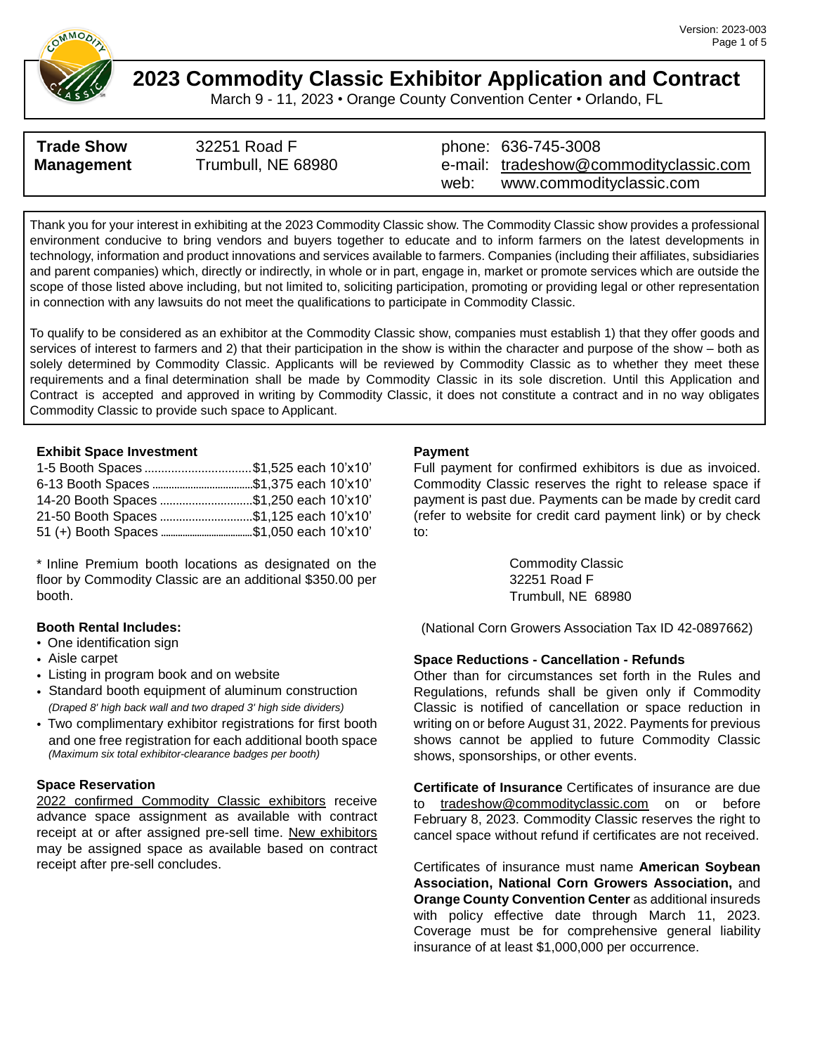

March 9 - 11, 2023 • Orange County Convention Center • Orlando, FL

| <b>Trade Show</b> | 32251 Road F       |      | phone: 636-745-3008                    |
|-------------------|--------------------|------|----------------------------------------|
| <b>Management</b> | Trumbull, NE 68980 |      | e-mail: tradeshow@commodityclassic.com |
|                   |                    | web: | www.commodityclassic.com               |

Thank you for your interest in exhibiting at the 2023 Commodity Classic show. The Commodity Classic show provides a professional environment conducive to bring vendors and buyers together to educate and to inform farmers on the latest developments in technology, information and product innovations and services available to farmers. Companies (including their affiliates, subsidiaries and parent companies) which, directly or indirectly, in whole or in part, engage in, market or promote services which are outside the scope of those listed above including, but not limited to, soliciting participation, promoting or providing legal or other representation in connection with any lawsuits do not meet the qualifications to participate in Commodity Classic.

To qualify to be considered as an exhibitor at the Commodity Classic show, companies must establish 1) that they offer goods and services of interest to farmers and 2) that their participation in the show is within the character and purpose of the show – both as solely determined by Commodity Classic. Applicants will be reviewed by Commodity Classic as to whether they meet these requirements and a final determination shall be made by Commodity Classic in its sole discretion. Until this Application and Contract is accepted and approved in writing by Commodity Classic, it does not constitute a contract and in no way obligates Commodity Classic to provide such space to Applicant.

#### **Exhibit Space Investment**

| 1-5 Booth Spaces \$1,525 each 10'x10'   |  |
|-----------------------------------------|--|
|                                         |  |
| 14-20 Booth Spaces \$1,250 each 10'x10' |  |
| 21-50 Booth Spaces \$1,125 each 10'x10' |  |
|                                         |  |

\* Inline Premium booth locations as designated on the floor by Commodity Classic are an additional \$350.00 per booth.

#### **Booth Rental Includes:**

- One identification sign
- Aisle carpet
- Listing in program book and on website
- Standard booth equipment of aluminum construction *(Draped 8' high back wall and two draped 3' high side dividers)*
- Two complimentary exhibitor registrations for first booth and one free registration for each additional booth space *(Maximum six total exhibitor-clearance badges per booth)*

#### **Space Reservation**

2022 confirmed Commodity Classic exhibitors receive advance space assignment as available with contract receipt at or after assigned pre-sell time. New exhibitors may be assigned space as available based on contract receipt after pre-sell concludes.

#### **Payment**

Full payment for confirmed exhibitors is due as invoiced. Commodity Classic reserves the right to release space if payment is past due. Payments can be made by credit card (refer to website for credit card payment link) or by check to:

> Commodity Classic 32251 Road F Trumbull, NE 68980

(National Corn Growers Association Tax ID 42-0897662)

#### **Space Reductions - Cancellation - Refunds**

Other than for circumstances set forth in the Rules and Regulations, refunds shall be given only if Commodity Classic is notified of cancellation or space reduction in writing on or before August 31, 2022. Payments for previous shows cannot be applied to future Commodity Classic shows, sponsorships, or other events.

**Certificate of Insurance** Certificates of insurance are due to [tradeshow@commodityclassic.com](mailto:tradeshow@commodityclassic.com) on or before February 8, 2023. Commodity Classic reserves the right to cancel space without refund if certificates are not received.

Certificates of insurance must name **American Soybean Association, National Corn Growers Association,** and **Orange County Convention Center** as additional insureds with policy effective date through March 11, 2023. Coverage must be for comprehensive general liability insurance of at least \$1,000,000 per occurrence.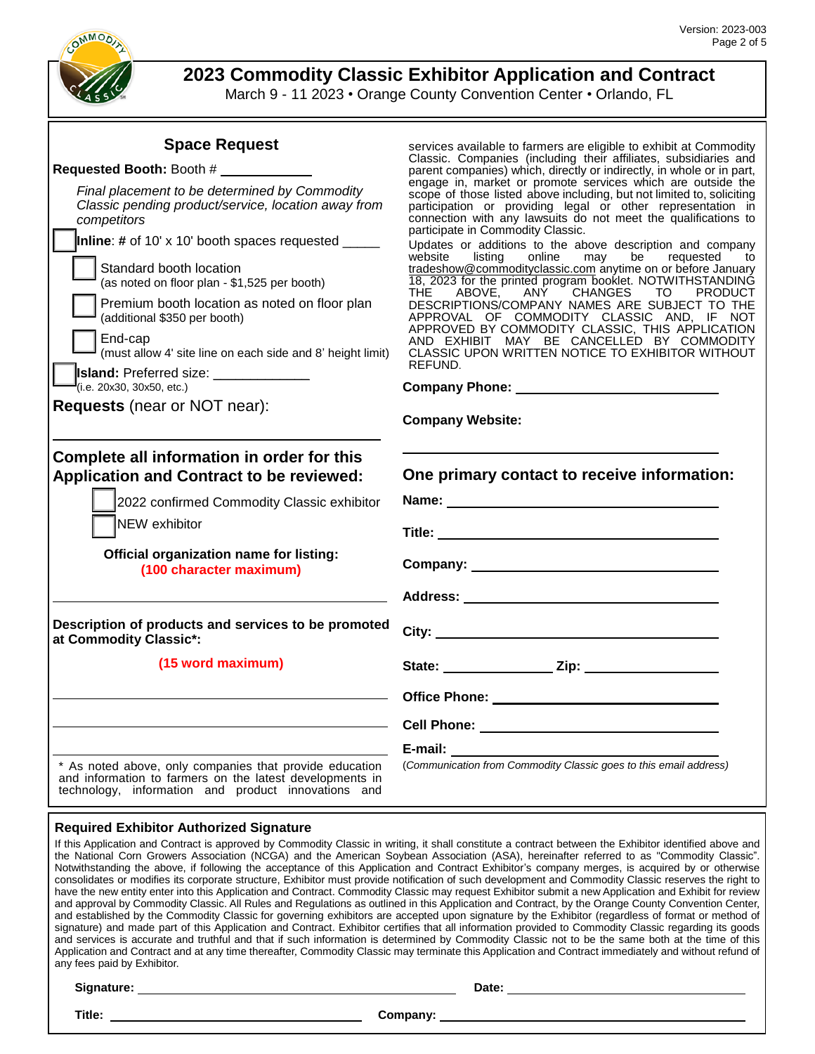

**2023 Commodity Classic Exhibitor Application and Contract**

March 9 - 11 2023 • Orange County Convention Center • Orlando, FL

services available to farmers are eligible to exhibit at Commodity Classic. Companies (including their affiliates, subsidiaries and parent companies) which, directly or indirectly, in whole or in part,

| <b>Space Request</b> |
|----------------------|
|                      |

### **Requested Booth:** Booth #

| Final placement to be determined by Commodity<br>Classic pending product/service, location away from<br>competitors<br><b>Inline:</b> # of 10' x 10' booth spaces requested $\frac{ }{ }$<br>Standard booth location<br>(as noted on floor plan - \$1,525 per booth)<br>Premium booth location as noted on floor plan<br>(additional \$350 per booth)<br>End-cap<br>(must allow 4' site line on each side and 8' height limit)<br><b>Island: Preferred size:</b> ______________<br>(i.e. 20x30, 30x50, etc.)<br><b>Requests</b> (near or NOT near): | engage in, market or promote services which are outside the<br>scope of those listed above including, but not limited to, soliciting<br>participation or providing legal or other representation in<br>connection with any lawsuits do not meet the qualifications to<br>participate in Commodity Classic.<br>Updates or additions to the above description and company<br>listing<br>online<br>be<br>website<br>may<br>requested<br>to<br>tradeshow@commodityclassic.com anytime on or before January<br>18, 2023 for the printed program booklet. NOTWITHSTANDING<br>ANY CHANGES TO<br>THE.<br>ABOVE,<br><b>PRODUCT</b><br>DESCRIPTIONS/COMPANY NAMES ARE SUBJECT TO THE<br>APPROVAL OF COMMODITY CLASSIC AND, IF NOT<br>APPROVED BY COMMODITY CLASSIC, THIS APPLICATION<br>AND EXHIBIT MAY BE CANCELLED BY COMMODITY<br>CLASSIC UPON WRITTEN NOTICE TO EXHIBITOR WITHOUT<br>REFUND.<br><b>Company Website:</b> |
|-----------------------------------------------------------------------------------------------------------------------------------------------------------------------------------------------------------------------------------------------------------------------------------------------------------------------------------------------------------------------------------------------------------------------------------------------------------------------------------------------------------------------------------------------------|-------------------------------------------------------------------------------------------------------------------------------------------------------------------------------------------------------------------------------------------------------------------------------------------------------------------------------------------------------------------------------------------------------------------------------------------------------------------------------------------------------------------------------------------------------------------------------------------------------------------------------------------------------------------------------------------------------------------------------------------------------------------------------------------------------------------------------------------------------------------------------------------------------------------|
| Complete all information in order for this<br><b>Application and Contract to be reviewed:</b><br>2022 confirmed Commodity Classic exhibitor<br>NEW exhibitor<br>Official organization name for listing:<br>(100 character maximum)                                                                                                                                                                                                                                                                                                                  | One primary contact to receive information:<br>Name: Name:                                                                                                                                                                                                                                                                                                                                                                                                                                                                                                                                                                                                                                                                                                                                                                                                                                                        |
| Description of products and services to be promoted<br>at Commodity Classic*:                                                                                                                                                                                                                                                                                                                                                                                                                                                                       | City: $\qquad \qquad$                                                                                                                                                                                                                                                                                                                                                                                                                                                                                                                                                                                                                                                                                                                                                                                                                                                                                             |
| (15 word maximum)                                                                                                                                                                                                                                                                                                                                                                                                                                                                                                                                   | State: <u>Zip: Zip:</u>                                                                                                                                                                                                                                                                                                                                                                                                                                                                                                                                                                                                                                                                                                                                                                                                                                                                                           |
|                                                                                                                                                                                                                                                                                                                                                                                                                                                                                                                                                     |                                                                                                                                                                                                                                                                                                                                                                                                                                                                                                                                                                                                                                                                                                                                                                                                                                                                                                                   |
|                                                                                                                                                                                                                                                                                                                                                                                                                                                                                                                                                     |                                                                                                                                                                                                                                                                                                                                                                                                                                                                                                                                                                                                                                                                                                                                                                                                                                                                                                                   |
|                                                                                                                                                                                                                                                                                                                                                                                                                                                                                                                                                     | E-mail: E-mail:                                                                                                                                                                                                                                                                                                                                                                                                                                                                                                                                                                                                                                                                                                                                                                                                                                                                                                   |
| * As noted above, only companies that provide education<br>and information to farmers on the latest developments in<br>technology, information and product innovations and                                                                                                                                                                                                                                                                                                                                                                          | (Communication from Commodity Classic goes to this email address)                                                                                                                                                                                                                                                                                                                                                                                                                                                                                                                                                                                                                                                                                                                                                                                                                                                 |

#### **Required Exhibitor Authorized Signature**

|                             | If this Application and Contract is approved by Commodity Classic in writing, it shall constitute a contract between the Exhibitor identified above and |
|-----------------------------|---------------------------------------------------------------------------------------------------------------------------------------------------------|
|                             | the National Corn Growers Association (NCGA) and the American Soybean Association (ASA), hereinafter referred to as "Commodity Classic".                |
|                             | Notwithstanding the above, if following the acceptance of this Application and Contract Exhibitor's company merges, is acquired by or otherwise         |
|                             | consolidates or modifies its corporate structure, Exhibitor must provide notification of such development and Commodity Classic reserves the right to   |
|                             | have the new entity enter into this Application and Contract. Commodity Classic may request Exhibitor submit a new Application and Exhibit for review   |
|                             | and approval by Commodity Classic. All Rules and Regulations as outlined in this Application and Contract, by the Orange County Convention Center,      |
|                             | and established by the Commodity Classic for governing exhibitors are accepted upon signature by the Exhibitor (regardless of format or method of       |
|                             | signature) and made part of this Application and Contract. Exhibitor certifies that all information provided to Commodity Classic regarding its goods   |
|                             | and services is accurate and truthful and that if such information is determined by Commodity Classic not to be the same both at the time of this       |
|                             | Application and Contract and at any time thereafter, Commodity Classic may terminate this Application and Contract immediately and without refund of    |
| any fees paid by Exhibitor. |                                                                                                                                                         |
|                             |                                                                                                                                                         |
| Signature:                  | Date:                                                                                                                                                   |

Company: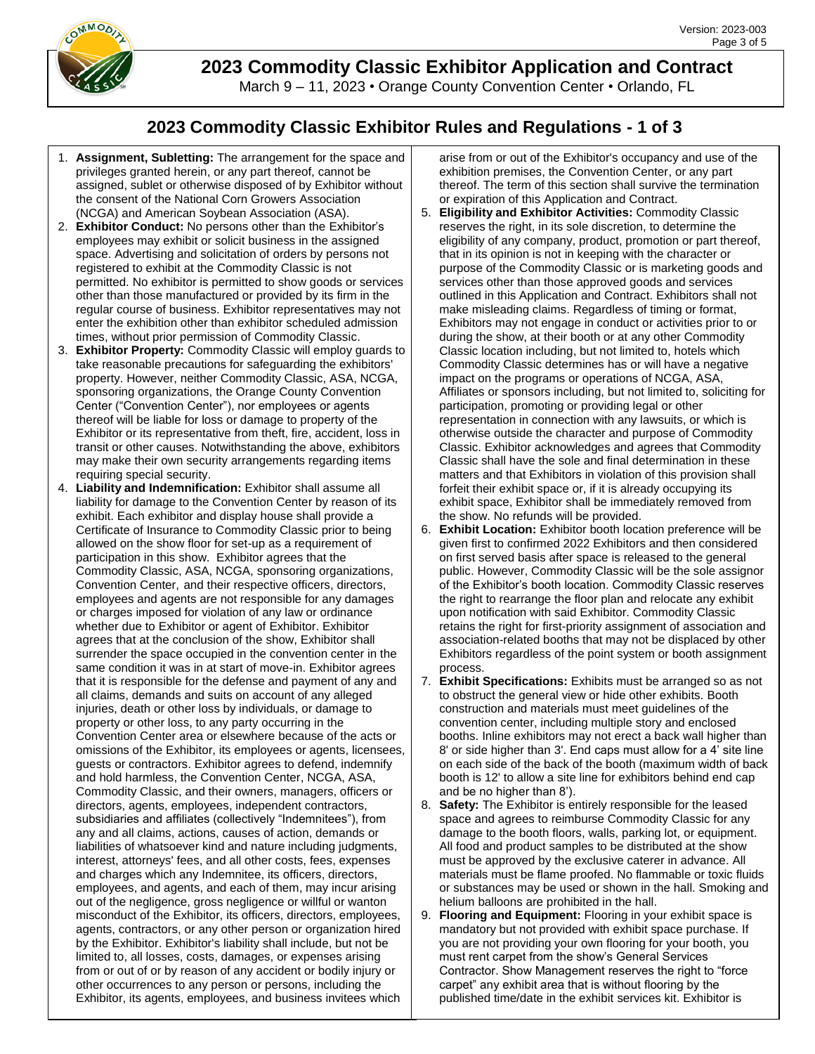

March 9 – 11, 2023 • Orange County Convention Center • Orlando, FL

## **2023 Commodity Classic Exhibitor Rules and Regulations - 1 of 3**

- 1. **Assignment, Subletting:** The arrangement for the space and privileges granted herein, or any part thereof, cannot be assigned, sublet or otherwise disposed of by Exhibitor without the consent of the National Corn Growers Association (NCGA) and American Soybean Association (ASA).
- 2. **Exhibitor Conduct:** No persons other than the Exhibitor's employees may exhibit or solicit business in the assigned space. Advertising and solicitation of orders by persons not registered to exhibit at the Commodity Classic is not permitted. No exhibitor is permitted to show goods or services other than those manufactured or provided by its firm in the regular course of business. Exhibitor representatives may not enter the exhibition other than exhibitor scheduled admission times, without prior permission of Commodity Classic.
- 3. **Exhibitor Property:** Commodity Classic will employ guards to take reasonable precautions for safeguarding the exhibitors' property. However, neither Commodity Classic, ASA, NCGA, sponsoring organizations, the Orange County Convention Center ("Convention Center"), nor employees or agents thereof will be liable for loss or damage to property of the Exhibitor or its representative from theft, fire, accident, loss in transit or other causes. Notwithstanding the above, exhibitors may make their own security arrangements regarding items requiring special security.
- 4. **Liability and Indemnification:** Exhibitor shall assume all liability for damage to the Convention Center by reason of its exhibit. Each exhibitor and display house shall provide a Certificate of Insurance to Commodity Classic prior to being allowed on the show floor for set-up as a requirement of participation in this show. Exhibitor agrees that the Commodity Classic, ASA, NCGA, sponsoring organizations, Convention Center, and their respective officers, directors, employees and agents are not responsible for any damages or charges imposed for violation of any law or ordinance whether due to Exhibitor or agent of Exhibitor. Exhibitor agrees that at the conclusion of the show, Exhibitor shall surrender the space occupied in the convention center in the same condition it was in at start of move-in. Exhibitor agrees that it is responsible for the defense and payment of any and all claims, demands and suits on account of any alleged injuries, death or other loss by individuals, or damage to property or other loss, to any party occurring in the Convention Center area or elsewhere because of the acts or omissions of the Exhibitor, its employees or agents, licensees, guests or contractors. Exhibitor agrees to defend, indemnify and hold harmless, the Convention Center, NCGA, ASA, Commodity Classic, and their owners, managers, officers or directors, agents, employees, independent contractors, subsidiaries and affiliates (collectively "Indemnitees"), from any and all claims, actions, causes of action, demands or liabilities of whatsoever kind and nature including judgments, interest, attorneys' fees, and all other costs, fees, expenses and charges which any Indemnitee, its officers, directors, employees, and agents, and each of them, may incur arising out of the negligence, gross negligence or willful or wanton misconduct of the Exhibitor, its officers, directors, employees, agents, contractors, or any other person or organization hired by the Exhibitor. Exhibitor's liability shall include, but not be limited to, all losses, costs, damages, or expenses arising from or out of or by reason of any accident or bodily injury or other occurrences to any person or persons, including the Exhibitor, its agents, employees, and business invitees which

arise from or out of the Exhibitor's occupancy and use of the exhibition premises, the Convention Center, or any part thereof. The term of this section shall survive the termination or expiration of this Application and Contract.

- 5. **Eligibility and Exhibitor Activities:** Commodity Classic reserves the right, in its sole discretion, to determine the eligibility of any company, product, promotion or part thereof, that in its opinion is not in keeping with the character or purpose of the Commodity Classic or is marketing goods and services other than those approved goods and services outlined in this Application and Contract. Exhibitors shall not make misleading claims. Regardless of timing or format, Exhibitors may not engage in conduct or activities prior to or during the show, at their booth or at any other Commodity Classic location including, but not limited to, hotels which Commodity Classic determines has or will have a negative impact on the programs or operations of NCGA, ASA, Affiliates or sponsors including, but not limited to, soliciting for participation, promoting or providing legal or other representation in connection with any lawsuits, or which is otherwise outside the character and purpose of Commodity Classic. Exhibitor acknowledges and agrees that Commodity Classic shall have the sole and final determination in these matters and that Exhibitors in violation of this provision shall forfeit their exhibit space or, if it is already occupying its exhibit space, Exhibitor shall be immediately removed from the show. No refunds will be provided.
- 6. **Exhibit Location:** Exhibitor booth location preference will be given first to confirmed 2022 Exhibitors and then considered on first served basis after space is released to the general public. However, Commodity Classic will be the sole assignor of the Exhibitor's booth location. Commodity Classic reserves the right to rearrange the floor plan and relocate any exhibit upon notification with said Exhibitor. Commodity Classic retains the right for first-priority assignment of association and association-related booths that may not be displaced by other Exhibitors regardless of the point system or booth assignment process.
- 7. **Exhibit Specifications:** Exhibits must be arranged so as not to obstruct the general view or hide other exhibits. Booth construction and materials must meet guidelines of the convention center, including multiple story and enclosed booths. Inline exhibitors may not erect a back wall higher than 8' or side higher than 3'. End caps must allow for a 4' site line on each side of the back of the booth (maximum width of back booth is 12' to allow a site line for exhibitors behind end cap and be no higher than 8').
- 8. **Safety:** The Exhibitor is entirely responsible for the leased space and agrees to reimburse Commodity Classic for any damage to the booth floors, walls, parking lot, or equipment. All food and product samples to be distributed at the show must be approved by the exclusive caterer in advance. All materials must be flame proofed. No flammable or toxic fluids or substances may be used or shown in the hall. Smoking and helium balloons are prohibited in the hall.
- 9. **Flooring and Equipment:** Flooring in your exhibit space is mandatory but not provided with exhibit space purchase. If you are not providing your own flooring for your booth, you must rent carpet from the show's General Services Contractor. Show Management reserves the right to "force carpet" any exhibit area that is without flooring by the published time/date in the exhibit services kit. Exhibitor is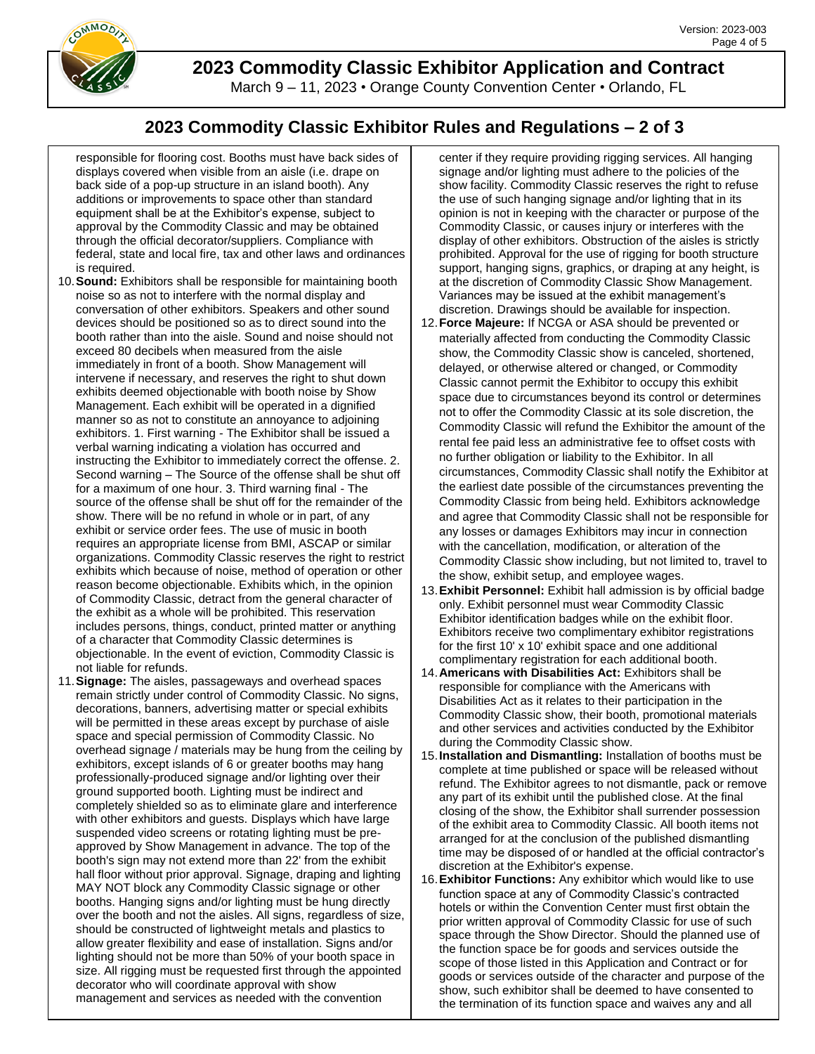

March 9 – 11, 2023 • Orange County Convention Center • Orlando, FL

## **2023 Commodity Classic Exhibitor Rules and Regulations – 2 of 3**

responsible for flooring cost. Booths must have back sides of displays covered when visible from an aisle (i.e. drape on back side of a pop-up structure in an island booth). Any additions or improvements to space other than standard equipment shall be at the Exhibitor's expense, subject to approval by the Commodity Classic and may be obtained through the official decorator/suppliers. Compliance with federal, state and local fire, tax and other laws and ordinances is required.

- 10.**Sound:** Exhibitors shall be responsible for maintaining booth noise so as not to interfere with the normal display and conversation of other exhibitors. Speakers and other sound devices should be positioned so as to direct sound into the booth rather than into the aisle. Sound and noise should not exceed 80 decibels when measured from the aisle immediately in front of a booth. Show Management will intervene if necessary, and reserves the right to shut down exhibits deemed objectionable with booth noise by Show Management. Each exhibit will be operated in a dignified manner so as not to constitute an annoyance to adjoining exhibitors. 1. First warning - The Exhibitor shall be issued a verbal warning indicating a violation has occurred and instructing the Exhibitor to immediately correct the offense. 2. Second warning – The Source of the offense shall be shut off for a maximum of one hour. 3. Third warning final - The source of the offense shall be shut off for the remainder of the show. There will be no refund in whole or in part, of any exhibit or service order fees. The use of music in booth requires an appropriate license from BMI, ASCAP or similar organizations. Commodity Classic reserves the right to restrict exhibits which because of noise, method of operation or other reason become objectionable. Exhibits which, in the opinion of Commodity Classic, detract from the general character of the exhibit as a whole will be prohibited. This reservation includes persons, things, conduct, printed matter or anything of a character that Commodity Classic determines is objectionable. In the event of eviction, Commodity Classic is not liable for refunds.
- 11.**Signage:** The aisles, passageways and overhead spaces remain strictly under control of Commodity Classic. No signs, decorations, banners, advertising matter or special exhibits will be permitted in these areas except by purchase of aisle space and special permission of Commodity Classic. No overhead signage / materials may be hung from the ceiling by exhibitors, except islands of 6 or greater booths may hang professionally-produced signage and/or lighting over their ground supported booth. Lighting must be indirect and completely shielded so as to eliminate glare and interference with other exhibitors and guests. Displays which have large suspended video screens or rotating lighting must be preapproved by Show Management in advance. The top of the booth's sign may not extend more than 22' from the exhibit hall floor without prior approval. Signage, draping and lighting MAY NOT block any Commodity Classic signage or other booths. Hanging signs and/or lighting must be hung directly over the booth and not the aisles. All signs, regardless of size, should be constructed of lightweight metals and plastics to allow greater flexibility and ease of installation. Signs and/or lighting should not be more than 50% of your booth space in size. All rigging must be requested first through the appointed decorator who will coordinate approval with show management and services as needed with the convention

center if they require providing rigging services. All hanging signage and/or lighting must adhere to the policies of the show facility. Commodity Classic reserves the right to refuse the use of such hanging signage and/or lighting that in its opinion is not in keeping with the character or purpose of the Commodity Classic, or causes injury or interferes with the display of other exhibitors. Obstruction of the aisles is strictly prohibited. Approval for the use of rigging for booth structure support, hanging signs, graphics, or draping at any height, is at the discretion of Commodity Classic Show Management. Variances may be issued at the exhibit management's discretion. Drawings should be available for inspection.

- 12.**Force Majeure:** If NCGA or ASA should be prevented or materially affected from conducting the Commodity Classic show, the Commodity Classic show is canceled, shortened, delayed, or otherwise altered or changed, or Commodity Classic cannot permit the Exhibitor to occupy this exhibit space due to circumstances beyond its control or determines not to offer the Commodity Classic at its sole discretion, the Commodity Classic will refund the Exhibitor the amount of the rental fee paid less an administrative fee to offset costs with no further obligation or liability to the Exhibitor. In all circumstances, Commodity Classic shall notify the Exhibitor at the earliest date possible of the circumstances preventing the Commodity Classic from being held. Exhibitors acknowledge and agree that Commodity Classic shall not be responsible for any losses or damages Exhibitors may incur in connection with the cancellation, modification, or alteration of the Commodity Classic show including, but not limited to, travel to the show, exhibit setup, and employee wages.
- 13.**Exhibit Personnel:** Exhibit hall admission is by official badge only. Exhibit personnel must wear Commodity Classic Exhibitor identification badges while on the exhibit floor. Exhibitors receive two complimentary exhibitor registrations for the first 10' x 10' exhibit space and one additional complimentary registration for each additional booth.
- 14.**Americans with Disabilities Act:** Exhibitors shall be responsible for compliance with the Americans with Disabilities Act as it relates to their participation in the Commodity Classic show, their booth, promotional materials and other services and activities conducted by the Exhibitor during the Commodity Classic show.
- 15.**Installation and Dismantling:** Installation of booths must be complete at time published or space will be released without refund. The Exhibitor agrees to not dismantle, pack or remove any part of its exhibit until the published close. At the final closing of the show, the Exhibitor shall surrender possession of the exhibit area to Commodity Classic. All booth items not arranged for at the conclusion of the published dismantling time may be disposed of or handled at the official contractor's discretion at the Exhibitor's expense.
- 16.**Exhibitor Functions:** Any exhibitor which would like to use function space at any of Commodity Classic's contracted hotels or within the Convention Center must first obtain the prior written approval of Commodity Classic for use of such space through the Show Director. Should the planned use of the function space be for goods and services outside the scope of those listed in this Application and Contract or for goods or services outside of the character and purpose of the show, such exhibitor shall be deemed to have consented to the termination of its function space and waives any and all